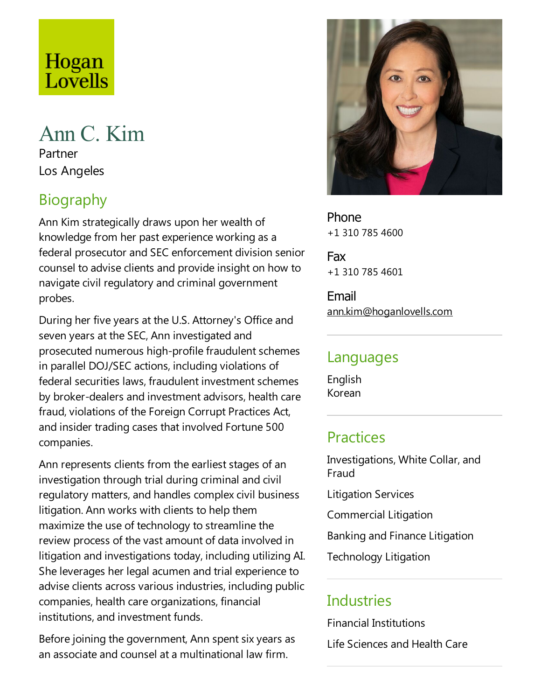# Hogan Lovells

# Ann C. Kim

Partner Los Angeles

# Biography

Ann Kim strategically draws upon her wealth of knowledge from her past experience working as a federal prosecutor and SEC enforcement division senior counsel to advise clients and provide insight on how to navigate civil regulatory and criminal government probes.

During her five years at the U.S. Attorney's Office and seven years at the SEC, Ann investigated and prosecuted numerous high-profile fraudulent schemes in parallel DOJ/SEC actions, including violations of federal securities laws, fraudulent investment schemes by broker-dealers and investment advisors, health care fraud, violations of the Foreign Corrupt Practices Act, and insider trading cases that involved Fortune 500 companies.

Ann represents clients from the earliest stages of an investigation through trial during criminal and civil regulatory matters, and handles complex civil business litigation. Ann works with clients to help them maximize the use of technology to streamline the review process of the vast amount of data involved in litigation and investigations today, including utilizing AI. She leverages her legal acumen and trial experience to advise clients across various industries, including public companies, health care organizations, financial institutions, and investment funds.

Before joining the government, Ann spent six years as an associate and counsel at a multinational law firm.



Phone +1 310 785 4600

Fax +1 310 785 4601

Email ann.kim@hoganlovells.com

### Languages

English Korean

# **Practices**

Investigations, White Collar, and Fraud Litigation Services Commercial Litigation Banking and Finance Litigation Technology Litigation

# Industries

Financial Institutions Life Sciences and Health Care